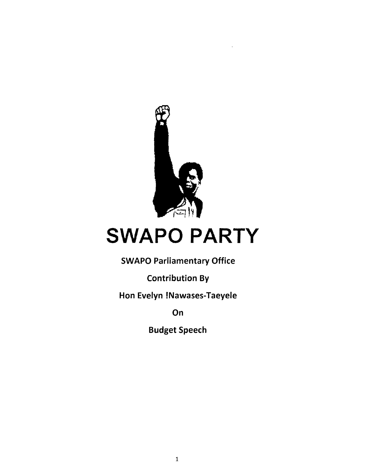

# SWAPO PARTY

SWAPO Parliamentary Office

Contribution By

Hon Evelyn !Nawases-Taeyele

**On** 

Budget Speech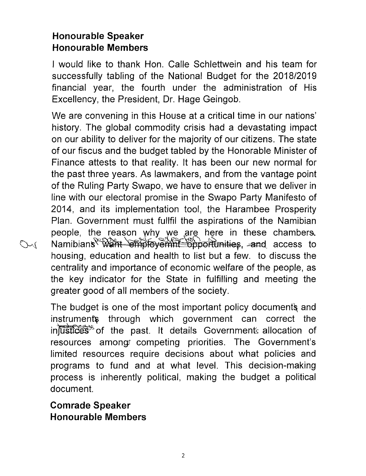## **Honourable Speaker Honourable Members**

I would like to thank Hon. Calle Schlettwein and his team for successfully tabling of the National Budget for the *2018/2019* financial year, the fourth under the administration of His Excellency, the President, Or. Hage Geingob.

We are convening in this House at a critical time in our nations' history. The global commodity crisis had a devastating impact on our ability to deliver for the majority of our citizens. The state of our fiscus and the budget tabled by the Honorable Minister of Finance attests to that reality. It has been our new normal for the past three years. As lawmakers, and from the vantage point of the Ruling Party Swapo, we have to ensure that we deliver in line with our electoral promise in the Swapo Party Manifesto of 2014, and its implementation tool, the Harambee Prosperity Plan. Government must fullfil the aspirations of the Namibian people, the reason why we are here in these chambers. Namibians<sup>& Want</sub> Shiployemnt Supportunities, and access to</sup> housing, education and health to list but a few. to discuss the centrality and importance of economic welfare of the people, as the key indicator for the State in fulfilling and meeting the greater good of all members of the society.

The budget is one of the most important policy documents and instruments through which government can correct the intustices<sup>35</sup> of the past. It details Governments allocation of resources among competing priorities. The Government's limited resources require decisions about what policies and programs to fund and at what level. This decision-making process is inherently political, making the budget a political document.

**Comrade Speaker Honourable Members**

 $24$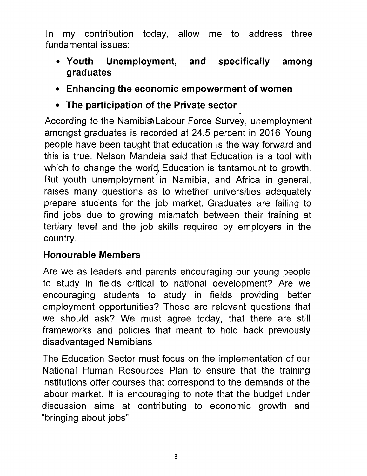In my contribution today, allow me to address three fundamental issues:

- **• Youth Unemployment, and specifically among graduates**
- **• Enhancing the economic empowerment of women**
- **• The participation of the Private sector**

According to the Namibia Labour Force Survey, unemployment amongst graduates is recorded at 24.5 percent in 2016. Young people have been taught that education is the way forward and this is true. Nelson Mandela said that Education is a tool with which to change the world, Education is tantamount to growth. But youth unemployment in Namibia, and Africa in general, raises many questions as to whether universities adequately prepare students for the job market. Graduates are failing to find jobs due to growing mismatch between their training at tertiary level and the job skills required by employers in the country.

### **Honourable Members**

Are we as leaders and parents encouraging our young people to study in fields critical to national development? Are we encouraging students to study in fields providing better employment opportunities? These are relevant questions that we should ask? We must agree today, that there are still frameworks and policies that meant to hold back previously disadvantaged Namibians

The Education Sector must focus on the implementation of our National Human Resources Plan to ensure that the training institutions offer courses that correspond to the demands of the labour market. It is encouraging to note that the budqet under discussion aims at contributing to economic growth and "bringing about jobs".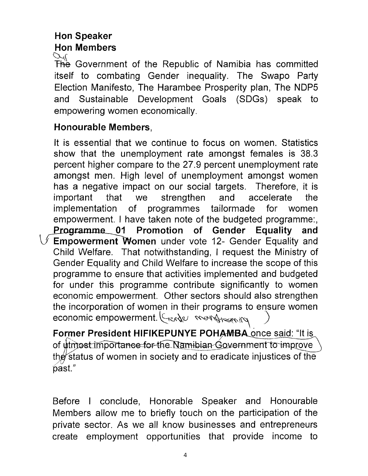# Hon Speaker Hon Members

 $\mathcal{L}(\mathcal{L})$  Government of the Republic of Namibia has committed itself to combating Gender inequality. The Swapo Party Election Manifesto, The Harambee Prosperity plan, The NDP5 and Sustainable Development Goals (SDGs) speak to empowering women economically.

#### Honourable Members,

It is essential that we continue to focus on women. Statistics show that the unemployment rate amongst females is 38.3 percent higher compare to the 27.9 percent unemployment rate amongst men. High level of unemployment amongst women has a negative impact on our social targets. Therefore, it is important that we strengthen and accelerate the implementation of programmes tailormade for women empowerment. I have taken note of the budgeted programme:, Programme 01 Promotion of Gender Equality and  $\vee$  Empowerment Women under vote 12- Gender Equality and Child Welfare. That notwithstanding, I request the Ministry of Gender Equality and Child Welfare to increase the scope of this programme to ensure that activities implemented and budgeted for under this programme contribute significantly to women economic empowerment. Other sectors should also strengthen the incorporation of women in their programs to ensure women economic empowerment. (Sender monthsoming

Former President HIFIKEPUNYE POHAMBA once said: "It is of utmost importance for the Namibian Government to improve the status of women in society and to eradicate injustices of the past."

Before I conclude, Honorable Speaker and Honourable Members allow me to briefly touch on the participation of the private sector. As we all know businesses and entrepreneurs create employment opportunities that provide income to